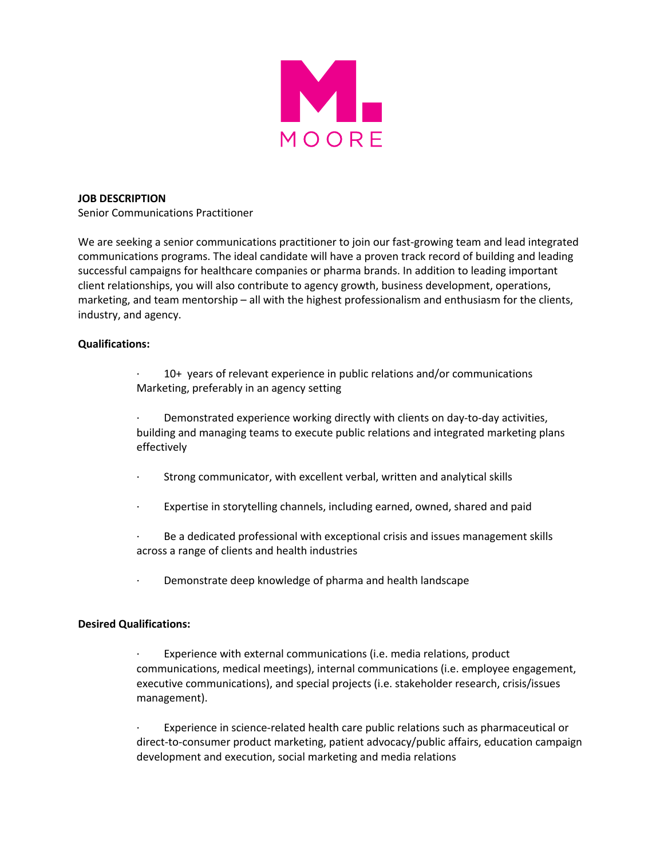

## **JOB DESCRIPTION**

Senior Communications Practitioner

We are seeking a senior communications practitioner to join our fast-growing team and lead integrated communications programs. The ideal candidate will have a proven track record of building and leading successful campaigns for healthcare companies or pharma brands. In addition to leading important client relationships, you will also contribute to agency growth, business development, operations, marketing, and team mentorship – all with the highest professionalism and enthusiasm for the clients, industry, and agency.

## **Qualifications:**

10+ years of relevant experience in public relations and/or communications Marketing, preferably in an agency setting

Demonstrated experience working directly with clients on day-to-day activities, building and managing teams to execute public relations and integrated marketing plans effectively

- Strong communicator, with excellent verbal, written and analytical skills
- Expertise in storytelling channels, including earned, owned, shared and paid

Be a dedicated professional with exceptional crisis and issues management skills across a range of clients and health industries

· Demonstrate deep knowledge of pharma and health landscape

## **Desired Qualifications:**

· Experience with external communications (i.e. media relations, product communications, medical meetings), internal communications (i.e. employee engagement, executive communications), and special projects (i.e. stakeholder research, crisis/issues management).

Experience in science-related health care public relations such as pharmaceutical or direct-to-consumer product marketing, patient advocacy/public affairs, education campaign development and execution, social marketing and media relations